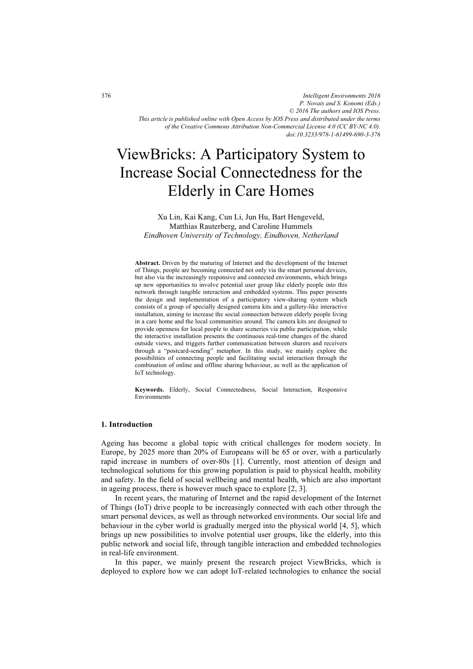*Intelligent Environments 2016 P. Novais and S. Konomi (Eds.) © 2016 The authors and IOS Press. This article is published online with Open Access by IOS Press and distributed under the terms of the Creative Commons Attribution Non-Commercial License 4.0 (CC BY-NC 4.0). doi:10.3233/978-1-61499-690-3-376*

# ViewBricks: A Participatory System to Increase Social Connectedness for the Elderly in Care Homes

Xu Lin, Kai Kang, Cun Li, Jun Hu, Bart Hengeveld, Matthias Rauterberg, and Caroline Hummels *Eindhoven University of Technology, Eindhoven, Netherland* 

**Abstract.** Driven by the maturing of Internet and the development of the Internet of Things, people are becoming connected not only via the smart personal devices, but also via the increasingly responsive and connected environments, which brings up new opportunities to involve potential user group like elderly people into this network through tangible interaction and embedded systems. This paper presents the design and implementation of a participatory view-sharing system which consists of a group of specially designed camera kits and a gallery-like interactive installation, aiming to increase the social connection between elderly people living in a care home and the local communities around. The camera kits are designed to provide openness for local people to share sceneries via public participation, while the interactive installation presents the continuous real-time changes of the shared outside views, and triggers further communication between sharers and receivers through a "postcard-sending" metaphor. In this study, we mainly explore the possibilities of connecting people and facilitating social interaction through the combination of online and offline sharing behaviour, as well as the application of IoT technology.

**Keywords.** Elderly, Social Connectedness, Social Interaction, Responsive Environments

#### **1. Introduction**

Ageing has become a global topic with critical challenges for modern society. In Europe, by 2025 more than 20% of Europeans will be 65 or over, with a particularly rapid increase in numbers of over-80s [1]. Currently, most attention of design and technological solutions for this growing population is paid to physical health, mobility and safety. In the field of social wellbeing and mental health, which are also important in ageing process, there is however much space to explore [2, 3].

In recent years, the maturing of Internet and the rapid development of the Internet of Things (IoT) drive people to be increasingly connected with each other through the smart personal devices, as well as through networked environments. Our social life and behaviour in the cyber world is gradually merged into the physical world [4, 5], which brings up new possibilities to involve potential user groups, like the elderly, into this public network and social life, through tangible interaction and embedded technologies in real-life environment.

In this paper, we mainly present the research project ViewBricks, which is deployed to explore how we can adopt IoT-related technologies to enhance the social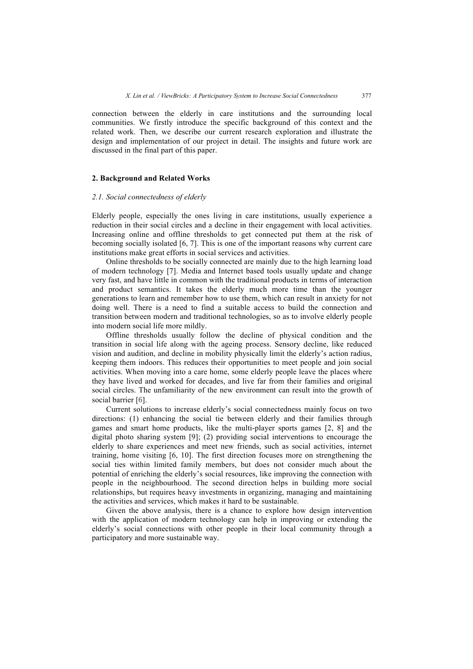connection between the elderly in care institutions and the surrounding local communities. We firstly introduce the specific background of this context and the related work. Then, we describe our current research exploration and illustrate the design and implementation of our project in detail. The insights and future work are discussed in the final part of this paper.

#### **2. Background and Related Works**

#### *2.1. Social connectedness of elderly*

Elderly people, especially the ones living in care institutions, usually experience a reduction in their social circles and a decline in their engagement with local activities. Increasing online and offline thresholds to get connected put them at the risk of becoming socially isolated [6, 7]. This is one of the important reasons why current care institutions make great efforts in social services and activities.

Online thresholds to be socially connected are mainly due to the high learning load of modern technology [7]. Media and Internet based tools usually update and change very fast, and have little in common with the traditional products in terms of interaction and product semantics. It takes the elderly much more time than the younger generations to learn and remember how to use them, which can result in anxiety for not doing well. There is a need to find a suitable access to build the connection and transition between modern and traditional technologies, so as to involve elderly people into modern social life more mildly.

Offline thresholds usually follow the decline of physical condition and the transition in social life along with the ageing process. Sensory decline, like reduced vision and audition, and decline in mobility physically limit the elderly's action radius, keeping them indoors. This reduces their opportunities to meet people and join social activities. When moving into a care home, some elderly people leave the places where they have lived and worked for decades, and live far from their families and original social circles. The unfamiliarity of the new environment can result into the growth of social barrier [6].

Current solutions to increase elderly's social connectedness mainly focus on two directions: (1) enhancing the social tie between elderly and their families through games and smart home products, like the multi-player sports games [2, 8] and the digital photo sharing system [9]; (2) providing social interventions to encourage the elderly to share experiences and meet new friends, such as social activities, internet training, home visiting [6, 10]. The first direction focuses more on strengthening the social ties within limited family members, but does not consider much about the potential of enriching the elderly's social resources, like improving the connection with people in the neighbourhood. The second direction helps in building more social relationships, but requires heavy investments in organizing, managing and maintaining the activities and services, which makes it hard to be sustainable.

Given the above analysis, there is a chance to explore how design intervention with the application of modern technology can help in improving or extending the elderly's social connections with other people in their local community through a participatory and more sustainable way.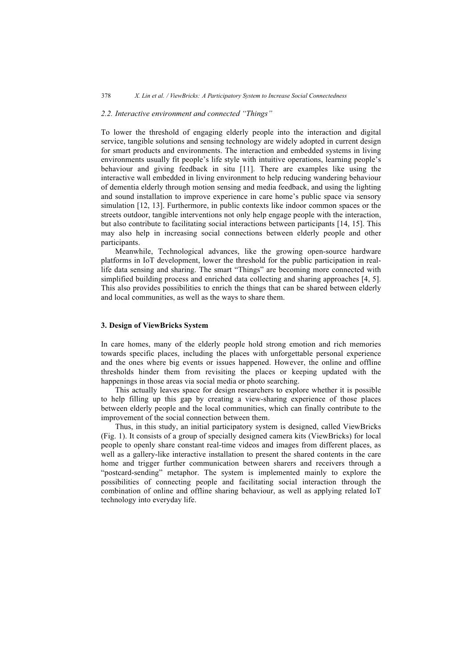#### *2.2. Interactive environment and connected "Things"*

To lower the threshold of engaging elderly people into the interaction and digital service, tangible solutions and sensing technology are widely adopted in current design for smart products and environments. The interaction and embedded systems in living environments usually fit people's life style with intuitive operations, learning people's behaviour and giving feedback in situ [11]. There are examples like using the interactive wall embedded in living environment to help reducing wandering behaviour of dementia elderly through motion sensing and media feedback, and using the lighting and sound installation to improve experience in care home's public space via sensory simulation [12, 13]. Furthermore, in public contexts like indoor common spaces or the streets outdoor, tangible interventions not only help engage people with the interaction, but also contribute to facilitating social interactions between participants [14, 15]. This may also help in increasing social connections between elderly people and other participants.

Meanwhile, Technological advances, like the growing open-source hardware platforms in IoT development, lower the threshold for the public participation in reallife data sensing and sharing. The smart "Things" are becoming more connected with simplified building process and enriched data collecting and sharing approaches [4, 5]. This also provides possibilities to enrich the things that can be shared between elderly and local communities, as well as the ways to share them.

# **3. Design of ViewBricks System**

In care homes, many of the elderly people hold strong emotion and rich memories towards specific places, including the places with unforgettable personal experience and the ones where big events or issues happened. However, the online and offline thresholds hinder them from revisiting the places or keeping updated with the happenings in those areas via social media or photo searching.

This actually leaves space for design researchers to explore whether it is possible to help filling up this gap by creating a view-sharing experience of those places between elderly people and the local communities, which can finally contribute to the improvement of the social connection between them.

Thus, in this study, an initial participatory system is designed, called ViewBricks (Fig. 1). It consists of a group of specially designed camera kits (ViewBricks) for local people to openly share constant real-time videos and images from different places, as well as a gallery-like interactive installation to present the shared contents in the care home and trigger further communication between sharers and receivers through a "postcard-sending" metaphor. The system is implemented mainly to explore the possibilities of connecting people and facilitating social interaction through the combination of online and offline sharing behaviour, as well as applying related IoT technology into everyday life.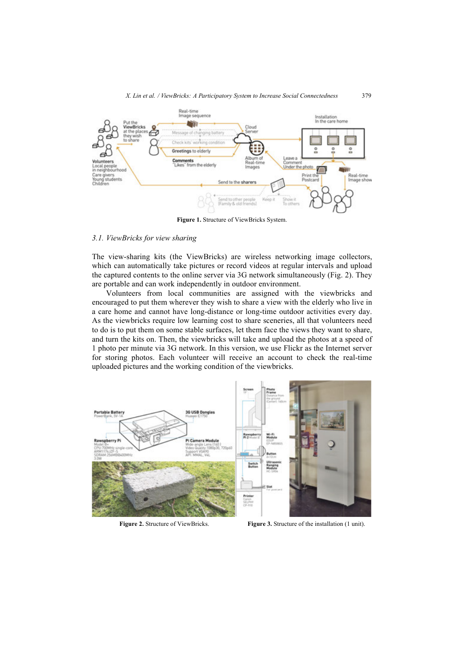

**Figure 1.** Structure of ViewBricks System.

#### *3.1. ViewBricks for view sharing*

The view-sharing kits (the ViewBricks) are wireless networking image collectors, which can automatically take pictures or record videos at regular intervals and upload the captured contents to the online server via 3G network simultaneously (Fig. 2). They are portable and can work independently in outdoor environment.

Volunteers from local communities are assigned with the viewbricks and encouraged to put them wherever they wish to share a view with the elderly who live in a care home and cannot have long-distance or long-time outdoor activities every day. As the viewbricks require low learning cost to share sceneries, all that volunteers need to do is to put them on some stable surfaces, let them face the views they want to share, and turn the kits on. Then, the viewbricks will take and upload the photos at a speed of 1 photo per minute via 3G network. In this version, we use Flickr as the Internet server for storing photos. Each volunteer will receive an account to check the real-time uploaded pictures and the working condition of the viewbricks.



**Figure 2.** Structure of ViewBricks. **Figure 3.** Structure of the installation (1 unit).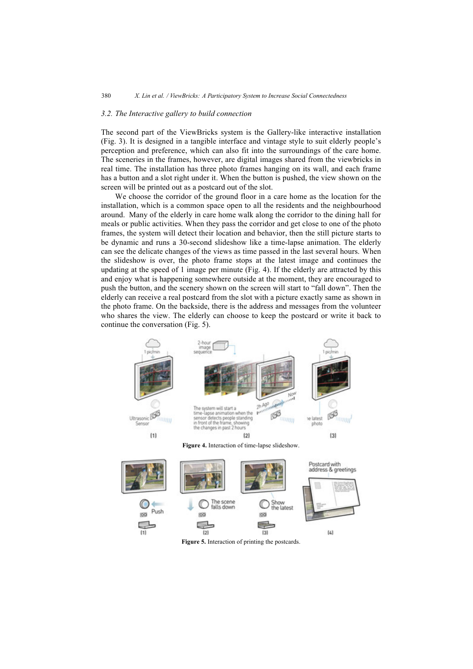#### *3.2. The Interactive gallery to build connection*

The second part of the ViewBricks system is the Gallery-like interactive installation (Fig. 3). It is designed in a tangible interface and vintage style to suit elderly people's perception and preference, which can also fit into the surroundings of the care home. The sceneries in the frames, however, are digital images shared from the viewbricks in real time. The installation has three photo frames hanging on its wall, and each frame has a button and a slot right under it. When the button is pushed, the view shown on the screen will be printed out as a postcard out of the slot.

We choose the corridor of the ground floor in a care home as the location for the installation, which is a common space open to all the residents and the neighbourhood around. Many of the elderly in care home walk along the corridor to the dining hall for meals or public activities. When they pass the corridor and get close to one of the photo frames, the system will detect their location and behavior, then the still picture starts to be dynamic and runs a 30-second slideshow like a time-lapse animation. The elderly can see the delicate changes of the views as time passed in the last several hours. When the slideshow is over, the photo frame stops at the latest image and continues the updating at the speed of 1 image per minute (Fig. 4). If the elderly are attracted by this and enjoy what is happening somewhere outside at the moment, they are encouraged to push the button, and the scenery shown on the screen will start to "fall down". Then the elderly can receive a real postcard from the slot with a picture exactly same as shown in the photo frame. On the backside, there is the address and messages from the volunteer who shares the view. The elderly can choose to keep the postcard or write it back to continue the conversation (Fig. 5).





**Figure 5.** Interaction of printing the postcards.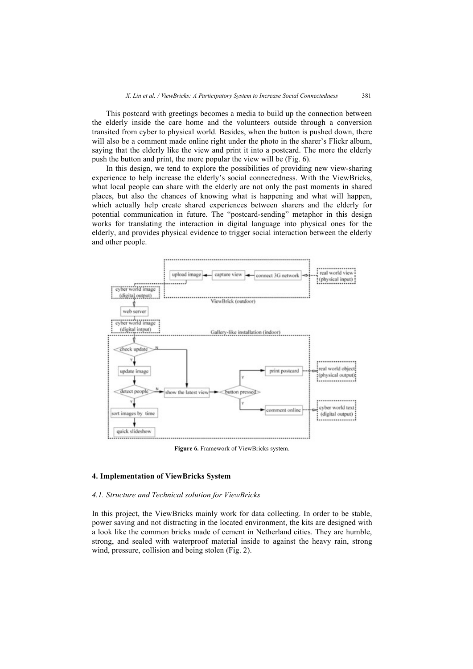This postcard with greetings becomes a media to build up the connection between the elderly inside the care home and the volunteers outside through a conversion transited from cyber to physical world. Besides, when the button is pushed down, there will also be a comment made online right under the photo in the sharer's Flickr album, saying that the elderly like the view and print it into a postcard. The more the elderly push the button and print, the more popular the view will be (Fig. 6).

In this design, we tend to explore the possibilities of providing new view-sharing experience to help increase the elderly's social connectedness. With the ViewBricks, what local people can share with the elderly are not only the past moments in shared places, but also the chances of knowing what is happening and what will happen, which actually help create shared experiences between sharers and the elderly for potential communication in future. The "postcard-sending" metaphor in this design works for translating the interaction in digital language into physical ones for the elderly, and provides physical evidence to trigger social interaction between the elderly and other people.



**Figure 6.** Framework of ViewBricks system.

#### **4. Implementation of ViewBricks System**

#### *4.1. Structure and Technical solution for ViewBricks*

In this project, the ViewBricks mainly work for data collecting. In order to be stable, power saving and not distracting in the located environment, the kits are designed with a look like the common bricks made of cement in Netherland cities. They are humble, strong, and sealed with waterproof material inside to against the heavy rain, strong wind, pressure, collision and being stolen (Fig. 2).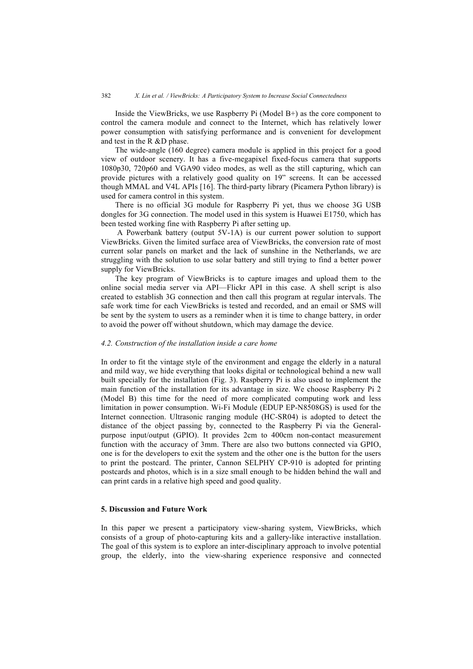Inside the ViewBricks, we use Raspberry Pi (Model  $B+$ ) as the core component to control the camera module and connect to the Internet, which has relatively lower power consumption with satisfying performance and is convenient for development and test in the R &D phase.

The wide-angle (160 degree) camera module is applied in this project for a good view of outdoor scenery. It has a five-megapixel fixed-focus camera that supports 1080p30, 720p60 and VGA90 video modes, as well as the still capturing, which can provide pictures with a relatively good quality on 19" screens. It can be accessed though MMAL and V4L APIs [16]. The third-party library (Picamera Python library) is used for camera control in this system.

There is no official 3G module for Raspberry Pi yet, thus we choose 3G USB dongles for 3G connection. The model used in this system is Huawei E1750, which has been tested working fine with Raspberry Pi after setting up.

 A Powerbank battery (output 5V-1A) is our current power solution to support ViewBricks. Given the limited surface area of ViewBricks, the conversion rate of most current solar panels on market and the lack of sunshine in the Netherlands, we are struggling with the solution to use solar battery and still trying to find a better power supply for ViewBricks.

The key program of ViewBricks is to capture images and upload them to the online social media server via API—Flickr API in this case. A shell script is also created to establish 3G connection and then call this program at regular intervals. The safe work time for each ViewBricks is tested and recorded, and an email or SMS will be sent by the system to users as a reminder when it is time to change battery, in order to avoid the power off without shutdown, which may damage the device.

#### *4.2. Construction of the installation inside a care home*

In order to fit the vintage style of the environment and engage the elderly in a natural and mild way, we hide everything that looks digital or technological behind a new wall built specially for the installation (Fig. 3). Raspberry Pi is also used to implement the main function of the installation for its advantage in size. We choose Raspberry Pi 2 (Model B) this time for the need of more complicated computing work and less limitation in power consumption. Wi-Fi Module (EDUP EP-N8508GS) is used for the Internet connection. Ultrasonic ranging module (HC-SR04) is adopted to detect the distance of the object passing by, connected to the Raspberry Pi via the Generalpurpose input/output (GPIO). It provides 2cm to 400cm non-contact measurement function with the accuracy of 3mm. There are also two buttons connected via GPIO, one is for the developers to exit the system and the other one is the button for the users to print the postcard. The printer, Cannon SELPHY CP-910 is adopted for printing postcards and photos, which is in a size small enough to be hidden behind the wall and can print cards in a relative high speed and good quality.

#### **5. Discussion and Future Work**

In this paper we present a participatory view-sharing system, ViewBricks, which consists of a group of photo-capturing kits and a gallery-like interactive installation. The goal of this system is to explore an inter-disciplinary approach to involve potential group, the elderly, into the view-sharing experience responsive and connected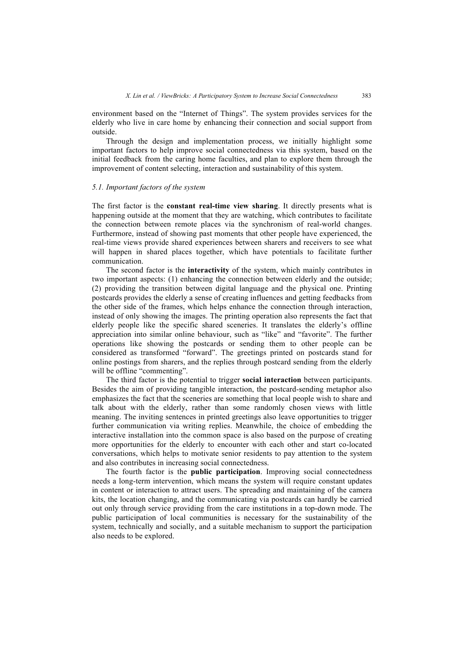environment based on the "Internet of Things". The system provides services for the elderly who live in care home by enhancing their connection and social support from outside.

Through the design and implementation process, we initially highlight some important factors to help improve social connectedness via this system, based on the initial feedback from the caring home faculties, and plan to explore them through the improvement of content selecting, interaction and sustainability of this system.

#### *5.1. Important factors of the system*

The first factor is the **constant real-time view sharing**. It directly presents what is happening outside at the moment that they are watching, which contributes to facilitate the connection between remote places via the synchronism of real-world changes. Furthermore, instead of showing past moments that other people have experienced, the real-time views provide shared experiences between sharers and receivers to see what will happen in shared places together, which have potentials to facilitate further communication.

The second factor is the **interactivity** of the system, which mainly contributes in two important aspects: (1) enhancing the connection between elderly and the outside; (2) providing the transition between digital language and the physical one. Printing postcards provides the elderly a sense of creating influences and getting feedbacks from the other side of the frames, which helps enhance the connection through interaction, instead of only showing the images. The printing operation also represents the fact that elderly people like the specific shared sceneries. It translates the elderly's offline appreciation into similar online behaviour, such as "like" and "favorite". The further operations like showing the postcards or sending them to other people can be considered as transformed "forward". The greetings printed on postcards stand for online postings from sharers, and the replies through postcard sending from the elderly will be offline "commenting".

The third factor is the potential to trigger **social interaction** between participants. Besides the aim of providing tangible interaction, the postcard-sending metaphor also emphasizes the fact that the sceneries are something that local people wish to share and talk about with the elderly, rather than some randomly chosen views with little meaning. The inviting sentences in printed greetings also leave opportunities to trigger further communication via writing replies. Meanwhile, the choice of embedding the interactive installation into the common space is also based on the purpose of creating more opportunities for the elderly to encounter with each other and start co-located conversations, which helps to motivate senior residents to pay attention to the system and also contributes in increasing social connectedness.

The fourth factor is the **public participation**. Improving social connectedness needs a long-term intervention, which means the system will require constant updates in content or interaction to attract users. The spreading and maintaining of the camera kits, the location changing, and the communicating via postcards can hardly be carried out only through service providing from the care institutions in a top-down mode. The public participation of local communities is necessary for the sustainability of the system, technically and socially, and a suitable mechanism to support the participation also needs to be explored.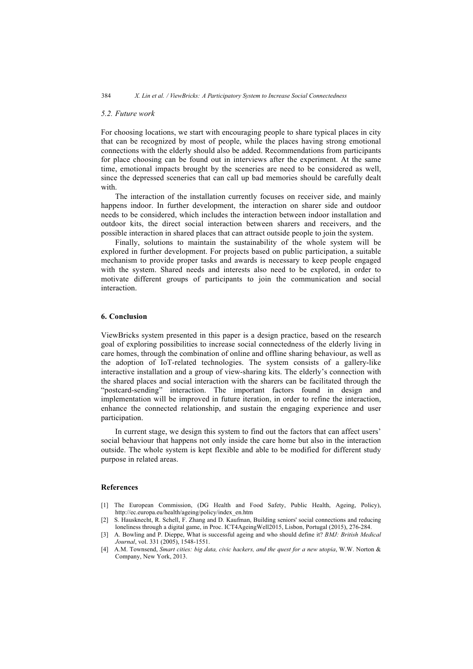#### *5.2. Future work*

For choosing locations, we start with encouraging people to share typical places in city that can be recognized by most of people, while the places having strong emotional connections with the elderly should also be added. Recommendations from participants for place choosing can be found out in interviews after the experiment. At the same time, emotional impacts brought by the sceneries are need to be considered as well, since the depressed sceneries that can call up bad memories should be carefully dealt with.

The interaction of the installation currently focuses on receiver side, and mainly happens indoor. In further development, the interaction on sharer side and outdoor needs to be considered, which includes the interaction between indoor installation and outdoor kits, the direct social interaction between sharers and receivers, and the possible interaction in shared places that can attract outside people to join the system.

Finally, solutions to maintain the sustainability of the whole system will be explored in further development. For projects based on public participation, a suitable mechanism to provide proper tasks and awards is necessary to keep people engaged with the system. Shared needs and interests also need to be explored, in order to motivate different groups of participants to join the communication and social interaction.

#### **6. Conclusion**

ViewBricks system presented in this paper is a design practice, based on the research goal of exploring possibilities to increase social connectedness of the elderly living in care homes, through the combination of online and offline sharing behaviour, as well as the adoption of IoT-related technologies. The system consists of a gallery-like interactive installation and a group of view-sharing kits. The elderly's connection with the shared places and social interaction with the sharers can be facilitated through the "postcard-sending" interaction. The important factors found in design and implementation will be improved in future iteration, in order to refine the interaction, enhance the connected relationship, and sustain the engaging experience and user participation.

In current stage, we design this system to find out the factors that can affect users' social behaviour that happens not only inside the care home but also in the interaction outside. The whole system is kept flexible and able to be modified for different study purpose in related areas.

#### **References**

- [1] The European Commission, (DG Health and Food Safety, Public Health, Ageing, Policy), http://ec.europa.eu/health/ageing/policy/index\_en.htm
- [2] S. Hausknecht, R. Schell, F. Zhang and D. Kaufman, Building seniors' social connections and reducing loneliness through a digital game, in Proc. ICT4AgeingWell2015, Lisbon, Portugal (2015), 276-284.
- [3] A. Bowling and P. Dieppe, What is successful ageing and who should define it? *BMJ: British Medical Journal*, vol. 331 (2005), 1548-1551.
- [4] A.M. Townsend, *Smart cities: big data, civic hackers, and the quest for a new utopia*, W.W. Norton & Company, New York, 2013.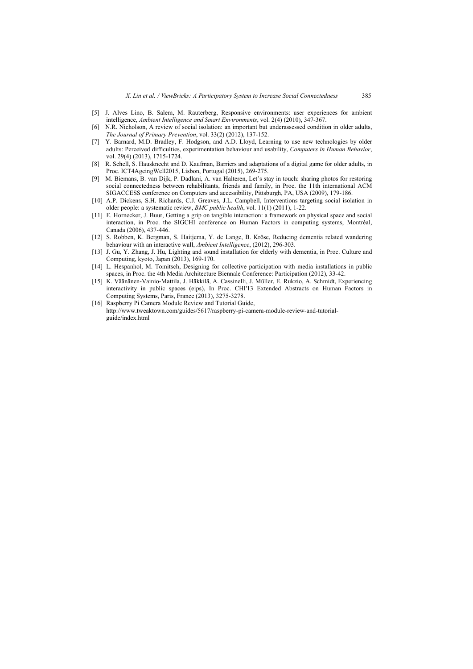- [5] J. Alves Lino, B. Salem, M. Rauterberg, Responsive environments: user experiences for ambient intelligence, *Ambient Intelligence and Smart Environments*, vol. 2(4) (2010), 347-367.
- [6] N.R. Nicholson, A review of social isolation: an important but underassessed condition in older adults, *The Journal of Primary Prevention*, vol. 33(2) (2012), 137-152.
- [7] Y. Barnard, M.D. Bradley, F. Hodgson, and A.D. Lloyd, Learning to use new technologies by older adults: Perceived difficulties, experimentation behaviour and usability, *Computers in Human Behavior*, vol. 29(4) (2013), 1715-1724.
- [8] R. Schell, S. Hausknecht and D. Kaufman, Barriers and adaptations of a digital game for older adults, in Proc. ICT4AgeingWell2015, Lisbon, Portugal (2015), 269-275.
- [9] M. Biemans, B. van Dijk, P. Dadlani, A. van Halteren, Let's stay in touch: sharing photos for restoring social connectedness between rehabilitants, friends and family, in Proc. the 11th international ACM SIGACCESS conference on Computers and accessibility, Pittsburgh, PA, USA (2009), 179-186.
- [10] A.P. Dickens, S.H. Richards, C.J. Greaves, J.L. Campbell, Interventions targeting social isolation in older people: a systematic review, *BMC public health*, vol. 11(1) (2011), 1-22.
- [11] E. Hornecker, J. Buur, Getting a grip on tangible interaction: a framework on physical space and social interaction, in Proc. the SIGCHI conference on Human Factors in computing systems, Montréal, Canada (2006), 437-446.
- [12] S. Robben, K. Bergman, S. Haitjema, Y. de Lange, B. Kröse, Reducing dementia related wandering behaviour with an interactive wall, *Ambient Intelligence*, (2012), 296-303.
- [13] J. Gu, Y. Zhang, J. Hu, Lighting and sound installation for elderly with dementia, in Proc. Culture and Computing, kyoto, Japan (2013), 169-170.
- [14] L. Hespanhol, M. Tomitsch, Designing for collective participation with media installations in public spaces, in Proc. the 4th Media Architecture Biennale Conference: Participation (2012), 33-42.
- [15] K. Väänänen-Vainio-Mattila, J. Häkkilä, A. Cassinelli, J. Müller, E. Rukzio, A. Schmidt, Experiencing interactivity in public spaces (eips), In Proc. CHI'13 Extended Abstracts on Human Factors in Computing Systems, Paris, France (2013), 3275-3278.
- [16] Raspberry Pi Camera Module Review and Tutorial Guide, http://www.tweaktown.com/guides/5617/raspberry-pi-camera-module-review-and-tutorialguide/index.html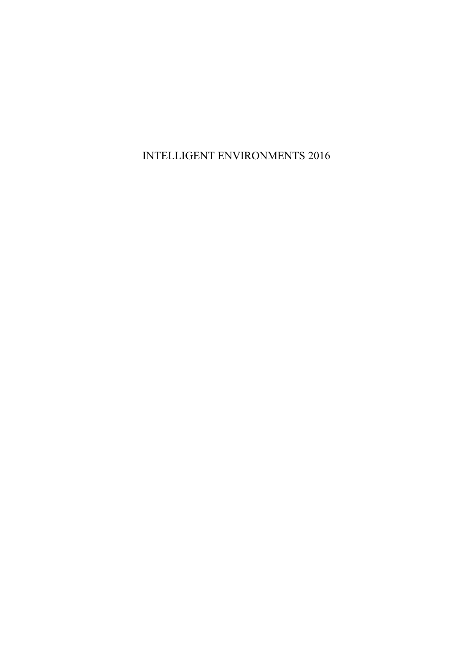# INTELLIGENT ENVIRONMENTS 2016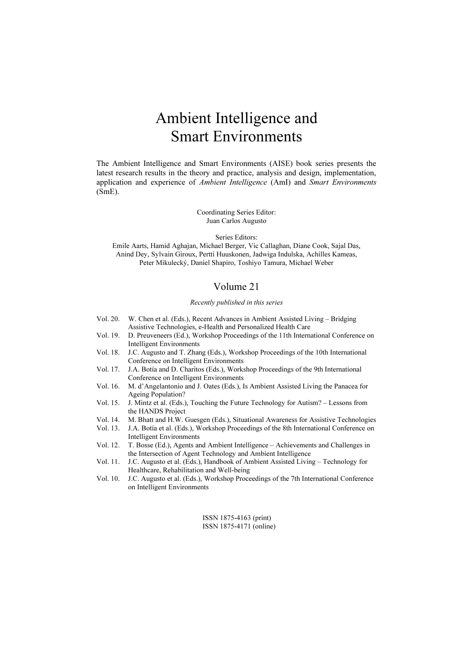# Ambient Intelligence and Smart Environments

The Ambient Intelligence and Smart Environments (AISE) book series presents the latest research results in the theory and practice, analysis and design, implementation, application and experience of Ambient Intelligence (AmI) and Smart Environments (SmE).

> Coordinating Series Editor: Juan Carlos Augusto

> > Series Editors:

Emile Aarts, Hamid Aghajan, Michael Berger, Vic Callaghan, Diane Cook, Sajal Das, Anind Dey, Sylvain Giroux, Pertti Huuskonen, Jadwiga Indulska, Achilles Kameas, Peter Mikulecký, Daniel Shapiro, Toshiyo Tamura, Michael Weber

# Volume 21

Recently published in this series

- Vol. 20. W. Chen et al. (Eds.), Recent Advances in Ambient Assisted Living Bridging Assistive Technologies, e-Health and Personalized Health Care
- Vol. 19. D. Preuveneers (Ed.), Workshop Proceedings of the 11th International Conference on Intelligent Environments
- Vol. 18. J.C. Augusto and T. Zhang (Eds.), Workshop Proceedings of the 10th International Conference on Intelligent Environments
- Vol. 17. J.A. Botía and D. Charitos (Eds.), Workshop Proceedings of the 9th International Conference on Intelligent Environments
- Vol. 16. M. d'Angelantonio and J. Oates (Eds.), Is Ambient Assisted Living the Panacea for Ageing Population?
- Vol. 15. J. Mintz et al. (Eds.), Touching the Future Technology for Autism? Lessons from the HANDS Project
- Vol. 14. M. Bhatt and H.W. Guesgen (Eds.), Situational Awareness for Assistive Technologies
- J.A. Botía et al. (Eds.), Workshop Proceedings of the 8th International Conference on Intelligent Environments
- Vol. 12. T. Bosse (Ed.), Agents and Ambient Intelligence Achievements and Challenges in the Intersection of Agent Technology and Ambient Intelligence
- Vol. 11. J.C. Augusto et al. (Eds.), Handbook of Ambient Assisted Living Technology for Healthcare, Rehabilitation and Well-being
- Vol. 10. J.C. Augusto et al. (Eds.), Workshop Proceedings of the 7th International Conference on Intelligent Environments

ISSN 1875-4163 (print) ISSN 1875-4171 (online)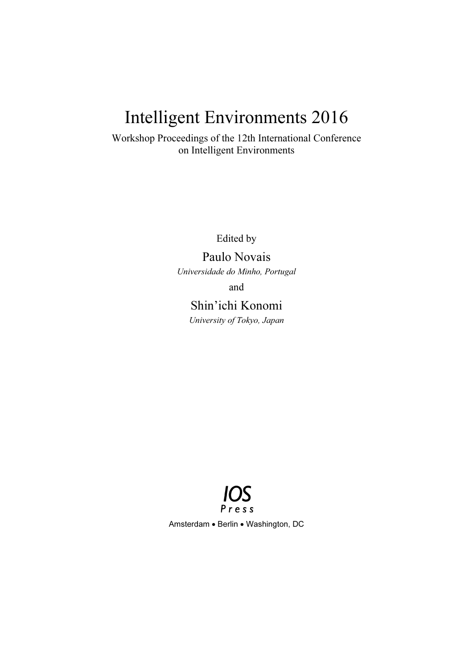Workshop Proceedings of the 12th International Conference on Intelligent Environments

Edited by

Paulo Novais Universidade do Minho, Portugal

and

Shin'ichi Konomi

University of Tokyo, Japan



Amsterdam • Berlin • Washington, DC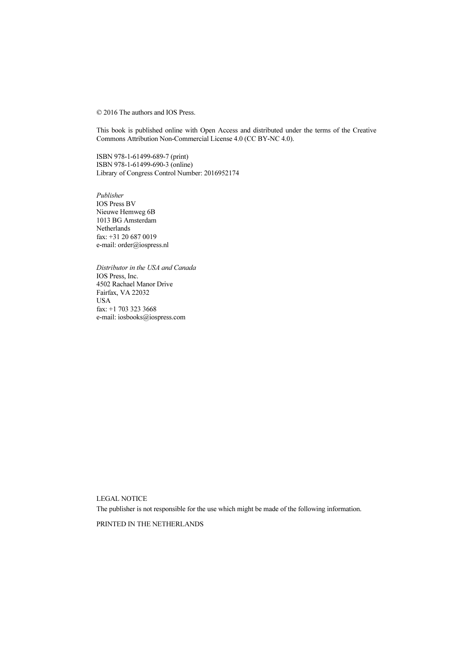© 2016 The authors and IOS Press.

This book is published online with Open Access and distributed under the terms of the Creative Commons Attribution Non-Commercial License 4.0 (CC BY-NC 4.0).

ISBN 978-1-61499-689-7 (print) ISBN 978-1-61499-690-3 (online) Library of Congress Control Number: 2016952174

Publisher IOS Press BV Nieuwe Hemweg 6B 1013 BG Amsterdam **Netherlands** fax: +31 20 687 0019 e-mail: order@iospress.nl

Distributor in the USA and Canada IOS Press, Inc. 4502 Rachael Manor Drive Fairfax, VA 22032 USA fax: +1 703 323 3668 e-mail: iosbooks@iospress.com

LEGAL NOTICE

The publisher is not responsible for the use which might be made of the following information.

PRINTED IN THE NETHERLANDS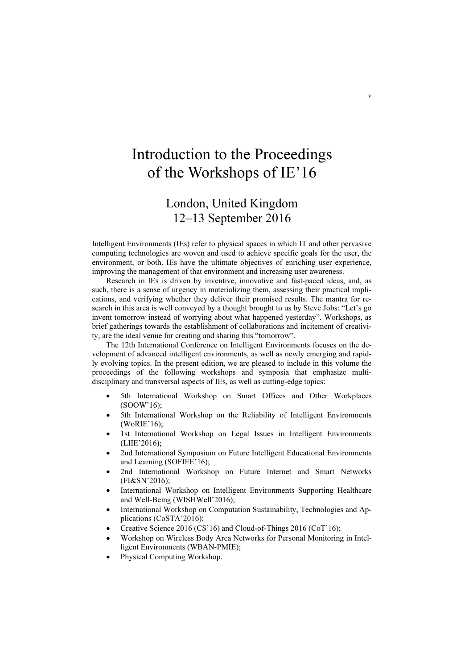# Introduction to the Proceedings of the Workshops of IE'16

# London, United Kingdom 12–13 September 2016

Intelligent Environments (IEs) refer to physical spaces in which IT and other pervasive computing technologies are woven and used to achieve specific goals for the user, the environment, or both. IEs have the ultimate objectives of enriching user experience, improving the management of that environment and increasing user awareness.

Research in IEs is driven by inventive, innovative and fast-paced ideas, and, as such, there is a sense of urgency in materializing them, assessing their practical implications, and verifying whether they deliver their promised results. The mantra for research in this area is well conveyed by a thought brought to us by Steve Jobs: "Let's go invent tomorrow instead of worrying about what happened yesterday". Workshops, as brief gatherings towards the establishment of collaborations and incitement of creativity, are the ideal venue for creating and sharing this "tomorrow".

The 12th International Conference on Intelligent Environments focuses on the development of advanced intelligent environments, as well as newly emerging and rapidly evolving topics. In the present edition, we are pleased to include in this volume the proceedings of the following workshops and symposia that emphasize multidisciplinary and transversal aspects of IEs, as well as cutting-edge topics:

- • 5th International Workshop on Smart Offices and Other Workplaces (SOOW'16);
- • 5th International Workshop on the Reliability of Intelligent Environments (WoRIE'16);
- • 1st International Workshop on Legal Issues in Intelligent Environments (LIIE'2016);
- • 2nd International Symposium on Future Intelligent Educational Environments and Learning (SOFIEE'16);
- • 2nd International Workshop on Future Internet and Smart Networks (FI&SN'2016);
- • International Workshop on Intelligent Environments Supporting Healthcare and Well-Being (WISHWell'2016);
- • International Workshop on Computation Sustainability, Technologies and Applications (CoSTA'2016);
- •Creative Science 2016 (CS'16) and Cloud-of-Things 2016 (CoT'16);
- • Workshop on Wireless Body Area Networks for Personal Monitoring in Intelligent Environments (WBAN-PMIE);
- •Physical Computing Workshop.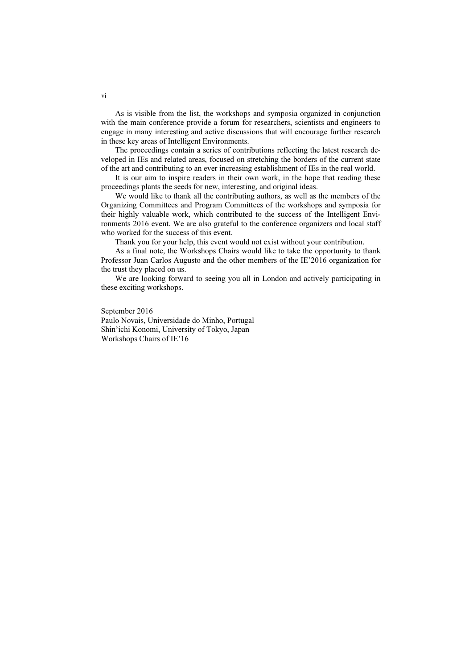As is visible from the list, the workshops and symposia organized in conjunction with the main conference provide a forum for researchers, scientists and engineers to engage in many interesting and active discussions that will encourage further research in these key areas of Intelligent Environments.

The proceedings contain a series of contributions reflecting the latest research developed in IEs and related areas, focused on stretching the borders of the current state of the art and contributing to an ever increasing establishment of IEs in the real world.

It is our aim to inspire readers in their own work, in the hope that reading these proceedings plants the seeds for new, interesting, and original ideas.

We would like to thank all the contributing authors, as well as the members of the Organizing Committees and Program Committees of the workshops and symposia for their highly valuable work, which contributed to the success of the Intelligent Environments 2016 event. We are also grateful to the conference organizers and local staff who worked for the success of this event.

Thank you for your help, this event would not exist without your contribution.

As a final note, the Workshops Chairs would like to take the opportunity to thank Professor Juan Carlos Augusto and the other members of the IE'2016 organization for the trust they placed on us.

We are looking forward to seeing you all in London and actively participating in these exciting workshops.

September 2016 Paulo Novais, Universidade do Minho, Portugal Shin'ichi Konomi, University of Tokyo, Japan Workshops Chairs of IE'16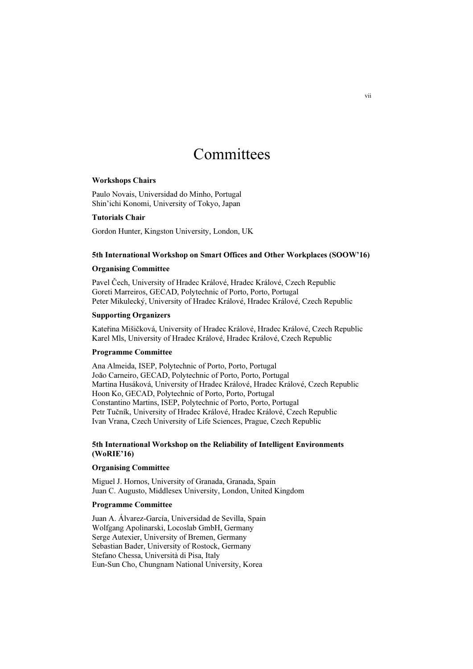# **Committees**

#### Workshops Chairs

Paulo Novais, Universidad do Minho, Portugal Shin'ichi Konomi, University of Tokyo, Japan

# Tutorials Chair

Gordon Hunter, Kingston University, London, UK

# 5th International Workshop on Smart Offices and Other Workplaces (SOOW'16)

# Organising Committee

Pavel Čech, University of Hradec Králové, Hradec Králové, Czech Republic Goreti Marreiros, GECAD, Polytechnic of Porto, Porto, Portugal Peter Mikulecký, University of Hradec Králové, Hradec Králové, Czech Republic

# Supporting Organizers

Kateřina Mišičková, University of Hradec Králové, Hradec Králové, Czech Republic Karel Mls, University of Hradec Králové, Hradec Králové, Czech Republic

# Programme Committee

Ana Almeida, ISEP, Polytechnic of Porto, Porto, Portugal João Carneiro, GECAD, Polytechnic of Porto, Porto, Portugal Martina Husáková, University of Hradec Králové, Hradec Králové, Czech Republic Hoon Ko, GECAD, Polytechnic of Porto, Porto, Portugal Constantino Martins, ISEP, Polytechnic of Porto, Porto, Portugal Petr Tučník, University of Hradec Králové, Hradec Králové, Czech Republic Ivan Vrana, Czech University of Life Sciences, Prague, Czech Republic

# 5th International Workshop on the Reliability of Intelligent Environments (WoRIE'16)

# Organising Committee

Miguel J. Hornos, University of Granada, Granada, Spain Juan C. Augusto, Middlesex University, London, United Kingdom

# Programme Committee

Juan A. Álvarez-García, Universidad de Sevilla, Spain Wolfgang Apolinarski, Locoslab GmbH, Germany Serge Autexier, University of Bremen, Germany Sebastian Bader, University of Rostock, Germany Stefano Chessa, Università di Pisa, Italy Eun-Sun Cho, Chungnam National University, Korea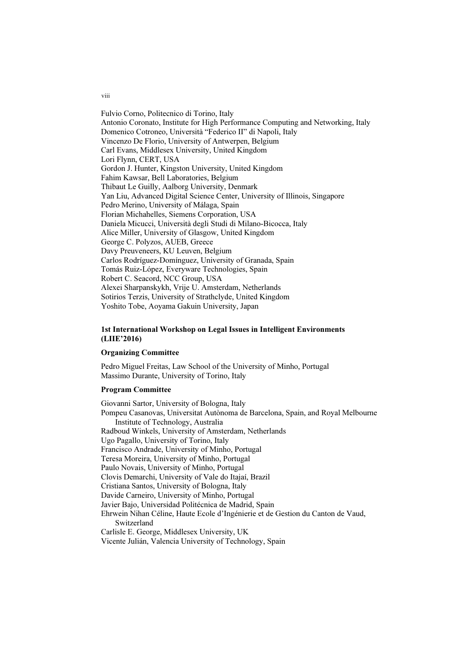Fulvio Corno, Politecnico di Torino, Italy Antonio Coronato, Institute for High Performance Computing and Networking, Italy Domenico Cotroneo, Università "Federico II" di Napoli, Italy Vincenzo De Florio, University of Antwerpen, Belgium Carl Evans, Middlesex University, United Kingdom Lori Flynn, CERT, USA Gordon J. Hunter, Kingston University, United Kingdom Fahim Kawsar, Bell Laboratories, Belgium Thibaut Le Guilly, Aalborg University, Denmark Yan Liu, Advanced Digital Science Center, University of Illinois, Singapore Pedro Merino, University of Málaga, Spain Florian Michahelles, Siemens Corporation, USA Daniela Micucci, Università degli Studi di Milano-Bicocca, Italy Alice Miller, University of Glasgow, United Kingdom George C. Polyzos, AUEB, Greece Davy Preuveneers, KU Leuven, Belgium Carlos Rodríguez-Domínguez, University of Granada, Spain Tomás Ruiz-López, Everyware Technologies, Spain Robert C. Seacord, NCC Group, USA Alexei Sharpanskykh, Vrije U. Amsterdam, Netherlands Sotirios Terzis, University of Strathclyde, United Kingdom Yoshito Tobe, Aoyama Gakuin University, Japan

# 1st International Workshop on Legal Issues in Intelligent Environments (LIIE'2016)

#### Organizing Committee

Pedro Miguel Freitas, Law School of the University of Minho, Portugal Massimo Durante, University of Torino, Italy

# Program Committee

Giovanni Sartor, University of Bologna, Italy Pompeu Casanovas, Universitat Autònoma de Barcelona, Spain, and Royal Melbourne Institute of Technology, Australia Radboud Winkels, University of Amsterdam, Netherlands Ugo Pagallo, University of Torino, Italy Francisco Andrade, University of Minho, Portugal Teresa Moreira, University of Minho, Portugal Paulo Novais, University of Minho, Portugal Clovis Demarchi, University of Vale do Itajaí, Brazil Cristiana Santos, University of Bologna, Italy Davide Carneiro, University of Minho, Portugal Javier Bajo, Universidad Politécnica de Madrid, Spain Ehrwein Nihan Céline, Haute Ecole d'Ingénierie et de Gestion du Canton de Vaud, Switzerland Carlisle E. George, Middlesex University, UK Vicente Julián, Valencia University of Technology, Spain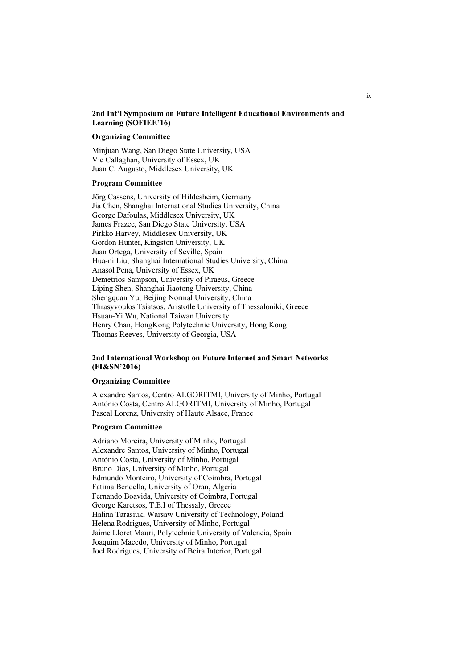# 2nd Int'l Symposium on Future Intelligent Educational Environments and Learning (SOFIEE'16)

# Organizing Committee

Minjuan Wang, San Diego State University, USA Vic Callaghan, University of Essex, UK Juan C. Augusto, Middlesex University, UK

### Program Committee

Jörg Cassens, University of Hildesheim, Germany Jia Chen, Shanghai International Studies University, China George Dafoulas, Middlesex University, UK James Frazee, San Diego State University, USA Pirkko Harvey, Middlesex University, UK Gordon Hunter, Kingston University, UK Juan Ortega, University of Seville, Spain Hua-ni Liu, Shanghai International Studies University, China Anasol Pena, University of Essex, UK Demetrios Sampson, University of Piraeus, Greece Liping Shen, Shanghai Jiaotong University, China Shengquan Yu, Beijing Normal University, China Thrasyvoulos Tsiatsos, Aristotle University of Thessaloniki, Greece Hsuan-Yi Wu, National Taiwan University Henry Chan, HongKong Polytechnic University, Hong Kong Thomas Reeves, University of Georgia, USA

# 2nd International Workshop on Future Internet and Smart Networks (FI&SN'2016)

#### Organizing Committee

Alexandre Santos, Centro ALGORITMI, University of Minho, Portugal António Costa, Centro ALGORITMI, University of Minho, Portugal Pascal Lorenz, University of Haute Alsace, France

#### Program Committee

Adriano Moreira, University of Minho, Portugal Alexandre Santos, University of Minho, Portugal António Costa, University of Minho, Portugal Bruno Dias, University of Minho, Portugal Edmundo Monteiro, University of Coimbra, Portugal Fatima Bendella, University of Oran, Algeria Fernando Boavida, University of Coimbra, Portugal George Karetsos, T.E.I of Thessaly, Greece Halina Tarasiuk, Warsaw University of Technology, Poland Helena Rodrigues, University of Minho, Portugal Jaime Lloret Mauri, Polytechnic University of Valencia, Spain Joaquim Macedo, University of Minho, Portugal Joel Rodrigues, University of Beira Interior, Portugal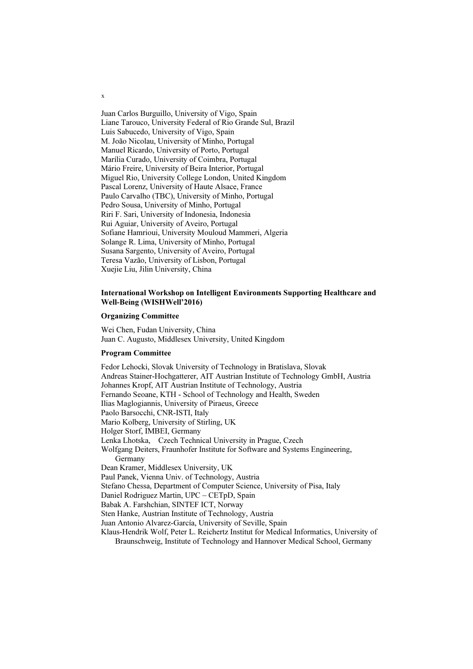Juan Carlos Burguillo, University of Vigo, Spain

Liane Tarouco, University Federal of Rio Grande Sul, Brazil Luis Sabucedo, University of Vigo, Spain M. João Nicolau, University of Minho, Portugal Manuel Ricardo, University of Porto, Portugal Marília Curado, University of Coimbra, Portugal Mário Freire, University of Beira Interior, Portugal Miguel Rio, University College London, United Kingdom Pascal Lorenz, University of Haute Alsace, France Paulo Carvalho (TBC), University of Minho, Portugal Pedro Sousa, University of Minho, Portugal Riri F. Sari, University of Indonesia, Indonesia Rui Aguiar, University of Aveiro, Portugal Sofiane Hamrioui, University Mouloud Mammeri, Algeria Solange R. Lima, University of Minho, Portugal Susana Sargento, University of Aveiro, Portugal Teresa Vazão, University of Lisbon, Portugal Xuejie Liu, Jilin University, China

# International Workshop on Intelligent Environments Supporting Healthcare and Well-Being (WISHWell'2016)

# Organizing Committee

Wei Chen, Fudan University, China Juan C. Augusto, Middlesex University, United Kingdom

# Program Committee

Fedor Lehocki, Slovak University of Technology in Bratislava, Slovak Andreas Stainer-Hochgatterer, AIT Austrian Institute of Technology GmbH, Austria Johannes Kropf, AIT Austrian Institute of Technology, Austria Fernando Seoane, KTH - School of Technology and Health, Sweden Ilias Maglogiannis, University of Piraeus, Greece Paolo Barsocchi, CNR-ISTI, Italy Mario Kolberg, University of Stirling, UK Holger Storf, IMBEI, Germany Lenka Lhotska, Czech Technical University in Prague, Czech Wolfgang Deiters, Fraunhofer Institute for Software and Systems Engineering, Germany Dean Kramer, Middlesex University, UK Paul Panek, Vienna Univ. of Technology, Austria Stefano Chessa, Department of Computer Science, University of Pisa, Italy Daniel Rodriguez Martin, UPC – CETpD, Spain Babak A. Farshchian, SINTEF ICT, Norway Sten Hanke, Austrian Institute of Technology, Austria Juan Antonio Alvarez-García, University of Seville, Spain Klaus-Hendrik Wolf, Peter L. Reichertz Institut for Medical Informatics, University of Braunschweig, Institute of Technology and Hannover Medical School, Germany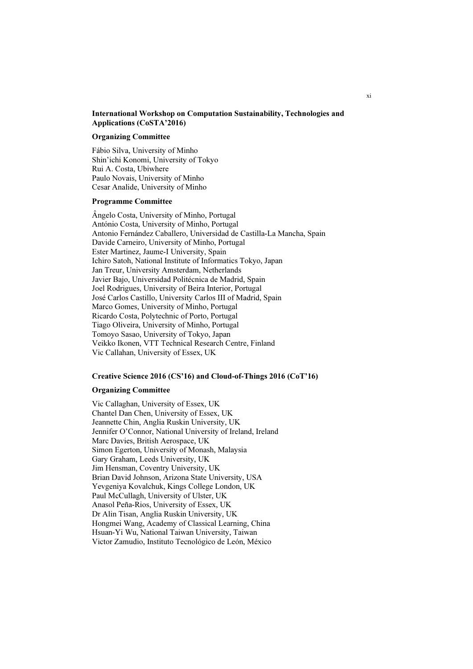#### International Workshop on Computation Sustainability, Technologies and Applications (CoSTA'2016)

#### Organizing Committee

Fábio Silva, University of Minho Shin'ichi Konomi, University of Tokyo Rui A. Costa, Ubiwhere Paulo Novais, University of Minho Cesar Analide, University of Minho

#### Programme Committee

Ângelo Costa, University of Minho, Portugal António Costa, University of Minho, Portugal Antonio Fernández Caballero, Universidad de Castilla-La Mancha, Spain Davide Carneiro, University of Minho, Portugal Ester Martinez, Jaume-I University, Spain Ichiro Satoh, National Institute of Informatics Tokyo, Japan Jan Treur, University Amsterdam, Netherlands Javier Bajo, Universidad Politécnica de Madrid, Spain Joel Rodrigues, University of Beira Interior, Portugal José Carlos Castillo, University Carlos III of Madrid, Spain Marco Gomes, University of Minho, Portugal Ricardo Costa, Polytechnic of Porto, Portugal Tiago Oliveira, University of Minho, Portugal Tomoyo Sasao, University of Tokyo, Japan Veikko Ikonen, VTT Technical Research Centre, Finland Vic Callahan, University of Essex, UK

#### Creative Science 2016 (CS'16) and Cloud-of-Things 2016 (CoT'16)

#### Organizing Committee

Vic Callaghan, University of Essex, UK Chantel Dan Chen, University of Essex, UK Jeannette Chin, Anglia Ruskin University, UK Jennifer O'Connor, National University of Ireland, Ireland Marc Davies, British Aerospace, UK Simon Egerton, University of Monash, Malaysia Gary Graham, Leeds University, UK Jim Hensman, Coventry University, UK Brian David Johnson, Arizona State University, USA Yevgeniya Kovalchuk, Kings College London, UK Paul McCullagh, University of Ulster, UK Anasol Peña-Rios, University of Essex, UK Dr Alin Tisan, Anglia Ruskin University, UK Hongmei Wang, Academy of Classical Learning, China Hsuan-Yi Wu, National Taiwan University, Taiwan Victor Zamudio, Instituto Tecnológico de León, México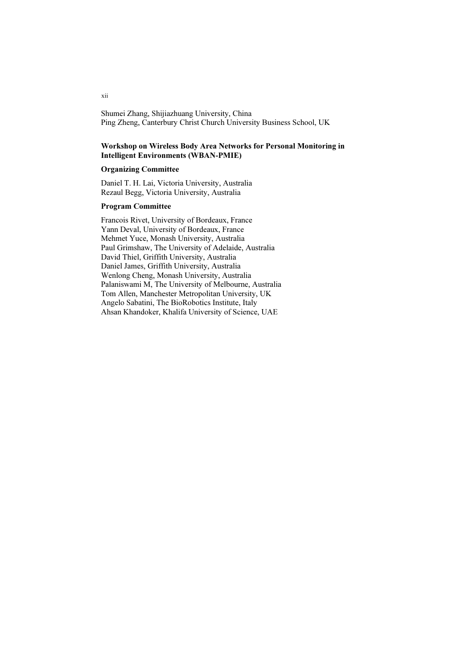Shumei Zhang, Shijiazhuang University, China Ping Zheng, Canterbury Christ Church University Business School, UK

# Workshop on Wireless Body Area Networks for Personal Monitoring in Intelligent Environments (WBAN-PMIE)

### Organizing Committee

Daniel T. H. Lai, Victoria University, Australia Rezaul Begg, Victoria University, Australia

# Program Committee

Francois Rivet, University of Bordeaux, France Yann Deval, University of Bordeaux, France Mehmet Yuce, Monash University, Australia Paul Grimshaw, The University of Adelaide, Australia David Thiel, Griffith University, Australia Daniel James, Griffith University, Australia Wenlong Cheng, Monash University, Australia Palaniswami M, The University of Melbourne, Australia Tom Allen, Manchester Metropolitan University, UK Angelo Sabatini, The BioRobotics Institute, Italy Ahsan Khandoker, Khalifa University of Science, UAE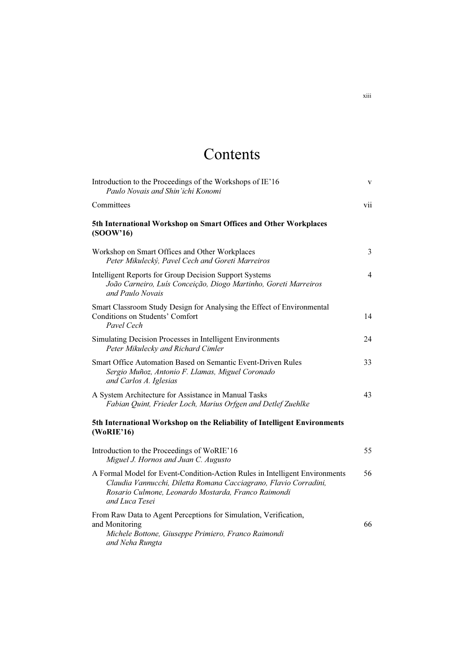# Contents

| Introduction to the Proceedings of the Workshops of IE'16<br>Paulo Novais and Shin'ichi Konomi                                                                                                                           | $\mathbf{V}$ |
|--------------------------------------------------------------------------------------------------------------------------------------------------------------------------------------------------------------------------|--------------|
| Committees                                                                                                                                                                                                               | vii          |
| 5th International Workshop on Smart Offices and Other Workplaces<br>(SOOW'16)                                                                                                                                            |              |
| Workshop on Smart Offices and Other Workplaces<br>Peter Mikulecký, Pavel Cech and Goreti Marreiros                                                                                                                       | 3            |
| Intelligent Reports for Group Decision Support Systems<br>João Carneiro, Luís Conceição, Diogo Martinho, Goreti Marreiros<br>and Paulo Novais                                                                            | 4            |
| Smart Classroom Study Design for Analysing the Effect of Environmental<br>Conditions on Students' Comfort<br>Pavel Cech                                                                                                  | 14           |
| Simulating Decision Processes in Intelligent Environments<br>Peter Mikulecky and Richard Cimler                                                                                                                          | 24           |
| Smart Office Automation Based on Semantic Event-Driven Rules<br>Sergio Muñoz, Antonio F. Llamas, Miguel Coronado<br>and Carlos A. Iglesias                                                                               | 33           |
| A System Architecture for Assistance in Manual Tasks<br>Fabian Quint, Frieder Loch, Marius Orfgen and Detlef Zuehlke                                                                                                     | 43           |
| 5th International Workshop on the Reliability of Intelligent Environments<br>(WoRIE'16)                                                                                                                                  |              |
| Introduction to the Proceedings of WoRIE'16<br>Miguel J. Hornos and Juan C. Augusto                                                                                                                                      | 55           |
| A Formal Model for Event-Condition-Action Rules in Intelligent Environments<br>Claudia Vannucchi, Diletta Romana Cacciagrano, Flavio Corradini,<br>Rosario Culmone, Leonardo Mostarda, Franco Raimondi<br>and Luca Tesei | 56           |
| From Raw Data to Agent Perceptions for Simulation, Verification,<br>and Monitoring<br>Michele Bottone, Giuseppe Primiero, Franco Raimondi<br>and Neha Rungta                                                             | 66           |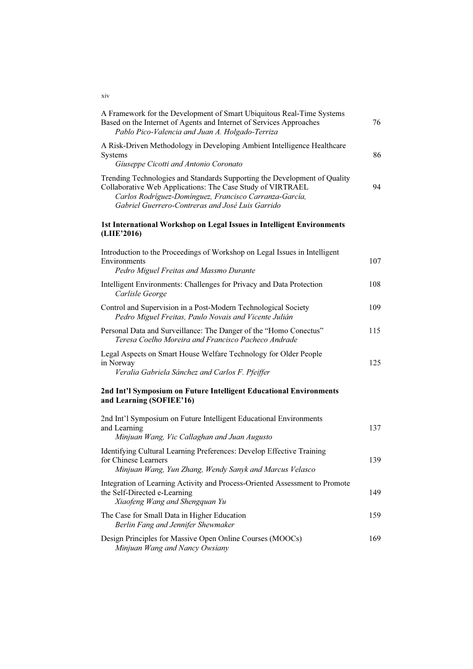| A Framework for the Development of Smart Ubiquitous Real-Time Systems<br>Based on the Internet of Agents and Internet of Services Approaches<br>Pablo Pico-Valencia and Juan A. Holgado-Terriza                                                       | 76  |
|-------------------------------------------------------------------------------------------------------------------------------------------------------------------------------------------------------------------------------------------------------|-----|
| A Risk-Driven Methodology in Developing Ambient Intelligence Healthcare<br>Systems<br>Giuseppe Cicotti and Antonio Coronato                                                                                                                           | 86  |
| Trending Technologies and Standards Supporting the Development of Quality<br>Collaborative Web Applications: The Case Study of VIRTRAEL<br>Carlos Rodríguez-Domínguez, Francisco Carranza-García,<br>Gabriel Guerrero-Contreras and José Luis Garrido | 94  |
| 1st International Workshop on Legal Issues in Intelligent Environments<br>(LIIE'2016)                                                                                                                                                                 |     |
| Introduction to the Proceedings of Workshop on Legal Issues in Intelligent<br>Environments<br>Pedro Miguel Freitas and Massmo Durante                                                                                                                 | 107 |
| Intelligent Environments: Challenges for Privacy and Data Protection<br>Carlisle George                                                                                                                                                               | 108 |
| Control and Supervision in a Post-Modern Technological Society<br>Pedro Miguel Freitas, Paulo Novais and Vicente Julián                                                                                                                               | 109 |
| Personal Data and Surveillance: The Danger of the "Homo Conectus"<br>Teresa Coelho Moreira and Francisco Pacheco Andrade                                                                                                                              | 115 |
| Legal Aspects on Smart House Welfare Technology for Older People<br>in Norway<br>Veralia Gabriela Sánchez and Carlos F. Pfeiffer                                                                                                                      | 125 |
| 2nd Int'l Symposium on Future Intelligent Educational Environments<br>and Learning (SOFIEE'16)                                                                                                                                                        |     |
| 2nd Int'l Symposium on Future Intelligent Educational Environments<br>and Learning<br>Minjuan Wang, Vic Callaghan and Juan Augusto                                                                                                                    | 137 |
| Identifying Cultural Learning Preferences: Develop Effective Training<br>for Chinese Learners<br>Minjuan Wang, Yun Zhang, Wendy Sanyk and Marcus Velasco                                                                                              | 139 |
| Integration of Learning Activity and Process-Oriented Assessment to Promote<br>the Self-Directed e-Learning<br>Xiaofeng Wang and Shengquan Yu                                                                                                         | 149 |
| The Case for Small Data in Higher Education<br>Berlin Fang and Jennifer Shewmaker                                                                                                                                                                     | 159 |
| Design Principles for Massive Open Online Courses (MOOCs)<br>Minjuan Wang and Nancy Owsiany                                                                                                                                                           | 169 |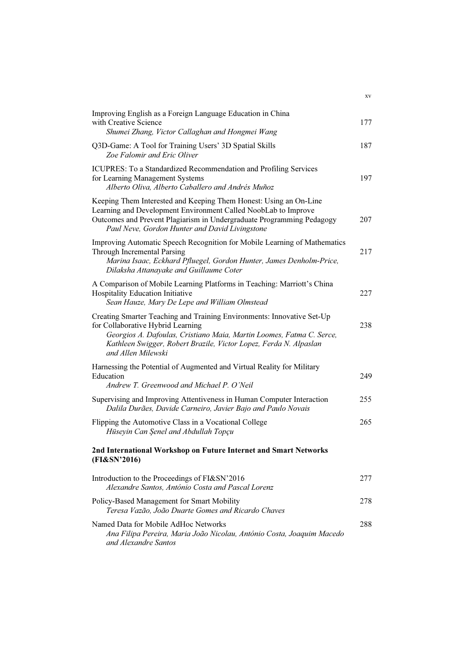| Improving English as a Foreign Language Education in China<br>with Creative Science                                                                                                                                                                                            | 177 |
|--------------------------------------------------------------------------------------------------------------------------------------------------------------------------------------------------------------------------------------------------------------------------------|-----|
| Shumei Zhang, Victor Callaghan and Hongmei Wang                                                                                                                                                                                                                                |     |
| Q3D-Game: A Tool for Training Users' 3D Spatial Skills<br>Zoe Falomir and Eric Oliver                                                                                                                                                                                          | 187 |
| ICUPRES: To a Standardized Recommendation and Profiling Services<br>for Learning Management Systems<br>Alberto Oliva, Alberto Caballero and Andrés Muñoz                                                                                                                       | 197 |
| Keeping Them Interested and Keeping Them Honest: Using an On-Line<br>Learning and Development Environment Called NoobLab to Improve<br>Outcomes and Prevent Plagiarism in Undergraduate Programming Pedagogy<br>Paul Neve, Gordon Hunter and David Livingstone                 | 207 |
| Improving Automatic Speech Recognition for Mobile Learning of Mathematics<br>Through Incremental Parsing<br>Marina Isaac, Eckhard Pfluegel, Gordon Hunter, James Denholm-Price,<br>Dilaksha Attanayake and Guillaume Coter                                                     | 217 |
| A Comparison of Mobile Learning Platforms in Teaching: Marriott's China<br>Hospitality Education Initiative<br>Sean Hauze, Mary De Lepe and William Olmstead                                                                                                                   | 227 |
| Creating Smarter Teaching and Training Environments: Innovative Set-Up<br>for Collaborative Hybrid Learning<br>Georgios A. Dafoulas, Cristiano Maia, Martin Loomes, Fatma C. Serce,<br>Kathleen Swigger, Robert Brazile, Victor Lopez, Ferda N. Alpaslan<br>and Allen Milewski | 238 |
| Harnessing the Potential of Augmented and Virtual Reality for Military<br>Education<br>Andrew T. Greenwood and Michael P. O'Neil                                                                                                                                               | 249 |
| Supervising and Improving Attentiveness in Human Computer Interaction<br>Dalila Durães, Davide Carneiro, Javier Bajo and Paulo Novais                                                                                                                                          | 255 |
| Flipping the Automotive Class in a Vocational College<br>Hüseyin Can Şenel and Abdullah Topçu                                                                                                                                                                                  | 265 |
| 2nd International Workshop on Future Internet and Smart Networks<br>(FI&SN'2016)                                                                                                                                                                                               |     |
| Introduction to the Proceedings of FI&SN'2016<br>Alexandre Santos, António Costa and Pascal Lorenz                                                                                                                                                                             | 277 |
| Policy-Based Management for Smart Mobility<br>Teresa Vazão, João Duarte Gomes and Ricardo Chaves                                                                                                                                                                               | 278 |
| Named Data for Mobile AdHoc Networks<br>Ana Filipa Pereira, Maria João Nicolau, António Costa, Joaquim Macedo<br>and Alexandre Santos                                                                                                                                          | 288 |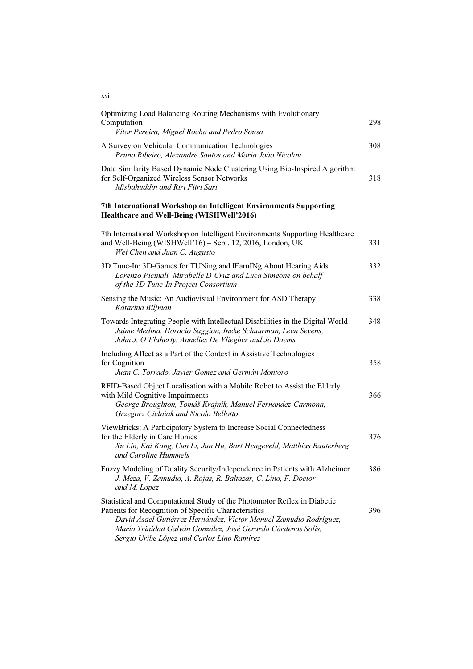| Optimizing Load Balancing Routing Mechanisms with Evolutionary<br>Computation                                                                                                                                                                                                                                       | 298 |
|---------------------------------------------------------------------------------------------------------------------------------------------------------------------------------------------------------------------------------------------------------------------------------------------------------------------|-----|
| Vitor Pereira, Miguel Rocha and Pedro Sousa                                                                                                                                                                                                                                                                         |     |
| A Survey on Vehicular Communication Technologies<br>Bruno Ribeiro, Alexandre Santos and Maria João Nicolau                                                                                                                                                                                                          | 308 |
| Data Similarity Based Dynamic Node Clustering Using Bio-Inspired Algorithm<br>for Self-Organized Wireless Sensor Networks<br>Misbahuddin and Riri Fitri Sari                                                                                                                                                        | 318 |
| 7th International Workshop on Intelligent Environments Supporting<br>Healthcare and Well-Being (WISHWell'2016)                                                                                                                                                                                                      |     |
| 7th International Workshop on Intelligent Environments Supporting Healthcare<br>and Well-Being (WISHWell'16) - Sept. 12, 2016, London, UK<br>Wei Chen and Juan C. Augusto                                                                                                                                           | 331 |
| 3D Tune-In: 3D-Games for TUNing and lEarnINg About Hearing Aids<br>Lorenzo Picinali, Mirabelle D'Cruz and Luca Simeone on behalf<br>of the 3D Tune-In Project Consortium                                                                                                                                            | 332 |
| Sensing the Music: An Audiovisual Environment for ASD Therapy<br>Katarina Biljman                                                                                                                                                                                                                                   | 338 |
| Towards Integrating People with Intellectual Disabilities in the Digital World<br>Jaime Medina, Horacio Saggion, Ineke Schuurman, Leen Sevens,<br>John J. O'Flaherty, Annelies De Vliegher and Jo Daems                                                                                                             | 348 |
| Including Affect as a Part of the Context in Assistive Technologies<br>for Cognition<br>Juan C. Torrado, Javier Gomez and Germán Montoro                                                                                                                                                                            | 358 |
| RFID-Based Object Localisation with a Mobile Robot to Assist the Elderly<br>with Mild Cognitive Impairments<br>George Broughton, Tomáš Krajník, Manuel Fernandez-Carmona,<br>Grzegorz Cielniak and Nicola Bellotto                                                                                                  | 366 |
| ViewBricks: A Participatory System to Increase Social Connectedness<br>for the Elderly in Care Homes<br>Xu Lin, Kai Kang, Cun Li, Jun Hu, Bart Hengeveld, Matthias Rauterberg<br>and Caroline Hummels                                                                                                               | 376 |
| Fuzzy Modeling of Duality Security/Independence in Patients with Alzheimer<br>J. Meza, V. Zamudio, A. Rojas, R. Baltazar, C. Lino, F. Doctor<br>and M. Lopez                                                                                                                                                        | 386 |
| Statistical and Computational Study of the Photomotor Reflex in Diabetic<br>Patients for Recognition of Specific Characteristics<br>David Asael Gutiérrez Hernández, Víctor Manuel Zamudio Rodríguez,<br>María Trinidad Galván González, José Gerardo Cárdenas Solís,<br>Sergio Uribe López and Carlos Lino Ramírez | 396 |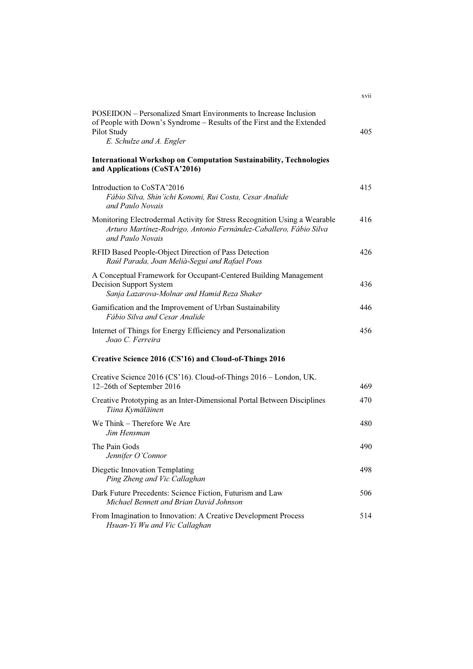| POSEIDON – Personalized Smart Environments to Increase Inclusion<br>of People with Down's Syndrome - Results of the First and the Extended<br>Pilot Study<br>E. Schulze and A. Engler | 405 |
|---------------------------------------------------------------------------------------------------------------------------------------------------------------------------------------|-----|
| <b>International Workshop on Computation Sustainability, Technologies</b><br>and Applications (CoSTA'2016)                                                                            |     |
| Introduction to CoSTA'2016<br>Fábio Silva, Shin'ichi Konomi, Rui Costa, Cesar Analide<br>and Paulo Novais                                                                             | 415 |
| Monitoring Electrodermal Activity for Stress Recognition Using a Wearable<br>Arturo Martínez-Rodrigo, Antonio Fernández-Caballero, Fábio Silva<br>and Paulo Novais                    | 416 |
| RFID Based People-Object Direction of Pass Detection<br>Raúl Parada, Joan Melià-Seguí and Rafael Pous                                                                                 | 426 |
| A Conceptual Framework for Occupant-Centered Building Management<br>Decision Support System<br>Sanja Lazarova-Molnar and Hamid Reza Shaker                                            | 436 |
| Gamification and the Improvement of Urban Sustainability<br>Fábio Silva and Cesar Analide                                                                                             | 446 |
| Internet of Things for Energy Efficiency and Personalization<br>Joao C. Ferreira                                                                                                      | 456 |
| Creative Science 2016 (CS'16) and Cloud-of-Things 2016                                                                                                                                |     |
| Creative Science 2016 (CS'16). Cloud-of-Things 2016 - London, UK.<br>12-26th of September 2016                                                                                        | 469 |
| Creative Prototyping as an Inter-Dimensional Portal Between Disciplines<br>Tiina Kymäläinen                                                                                           | 470 |
| We Think – Therefore We Are<br>Jim Hensman                                                                                                                                            | 480 |
| The Pain Gods<br>Jennifer O'Connor                                                                                                                                                    | 490 |
| Diegetic Innovation Templating<br>Ping Zheng and Vic Callaghan                                                                                                                        | 498 |
| Dark Future Precedents: Science Fiction, Futurism and Law<br>Michael Bennett and Brian David Johnson                                                                                  | 506 |
| From Imagination to Innovation: A Creative Development Process<br>Hsuan-Yi Wu and Vic Callaghan                                                                                       | 514 |

xvii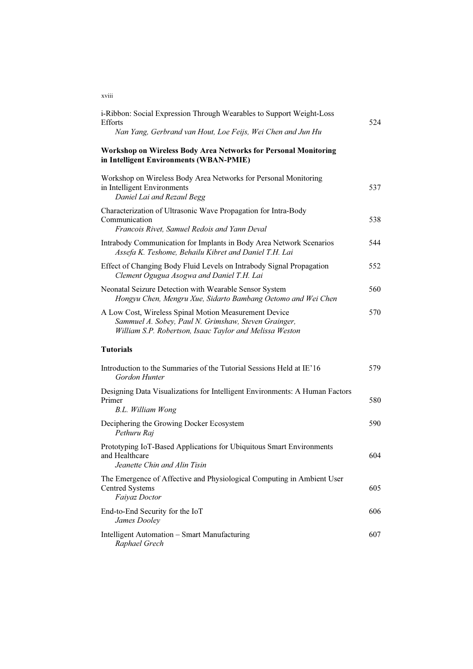| i-Ribbon: Social Expression Through Wearables to Support Weight-Loss<br><b>Efforts</b>                                                                                   | 524 |
|--------------------------------------------------------------------------------------------------------------------------------------------------------------------------|-----|
| Nan Yang, Gerbrand van Hout, Loe Feijs, Wei Chen and Jun Hu                                                                                                              |     |
| Workshop on Wireless Body Area Networks for Personal Monitoring<br>in Intelligent Environments (WBAN-PMIE)                                                               |     |
| Workshop on Wireless Body Area Networks for Personal Monitoring<br>in Intelligent Environments<br>Daniel Lai and Rezaul Begg                                             | 537 |
| Characterization of Ultrasonic Wave Propagation for Intra-Body<br>Communication<br>Francois Rivet, Samuel Redois and Yann Deval                                          | 538 |
| Intrabody Communication for Implants in Body Area Network Scenarios<br>Assefa K. Teshome, Behailu Kibret and Daniel T.H. Lai                                             | 544 |
| Effect of Changing Body Fluid Levels on Intrabody Signal Propagation<br>Clement Ogugua Asogwa and Daniel T.H. Lai                                                        | 552 |
| Neonatal Seizure Detection with Wearable Sensor System<br>Hongyu Chen, Mengru Xue, Sidarto Bambang Oetomo and Wei Chen                                                   | 560 |
| A Low Cost, Wireless Spinal Motion Measurement Device<br>Sammuel A. Sobey, Paul N. Grimshaw, Steven Grainger,<br>William S.P. Robertson, Isaac Taylor and Melissa Weston | 570 |
| <b>Tutorials</b>                                                                                                                                                         |     |
| Introduction to the Summaries of the Tutorial Sessions Held at IE'16<br>Gordon Hunter                                                                                    | 579 |
| Designing Data Visualizations for Intelligent Environments: A Human Factors<br>Primer<br>B.L. William Wong                                                               | 580 |
| Deciphering the Growing Docker Ecosystem<br>Pethuru Raj                                                                                                                  | 590 |
| Prototyping IoT-Based Applications for Ubiquitous Smart Environments<br>and Healthcare<br>Jeanette Chin and Alin Tisin                                                   | 604 |
| The Emergence of Affective and Physiological Computing in Ambient User<br><b>Centred Systems</b><br>Faiyaz Doctor                                                        | 605 |
| End-to-End Security for the IoT<br>James Dooley                                                                                                                          | 606 |
| Intelligent Automation - Smart Manufacturing<br>Raphael Grech                                                                                                            | 607 |

xviii